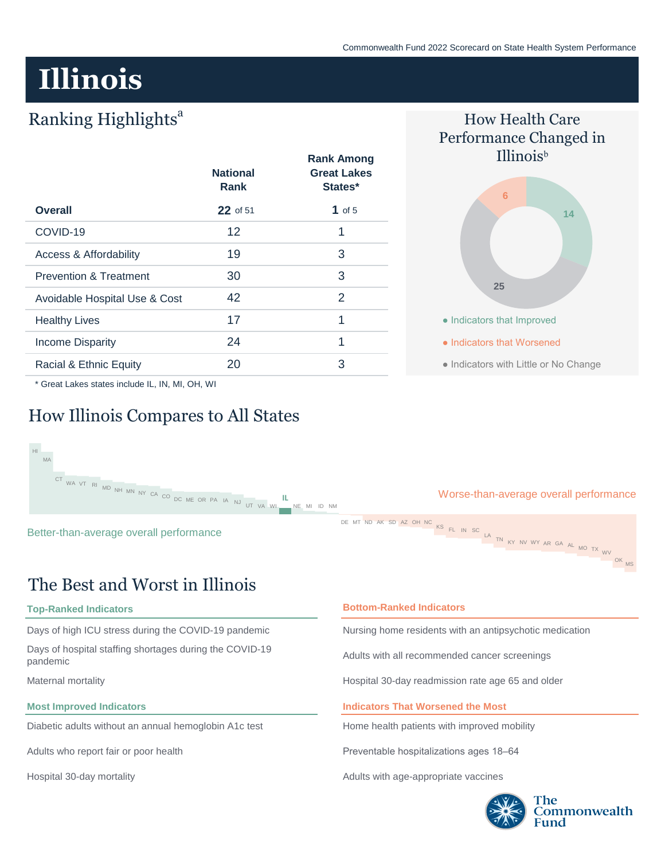# **Illinois**

## Ranking Highlights<sup>a</sup>

|                                   | <b>National</b><br><b>Rank</b> | <b>Rank Among</b><br><b>Great Lakes</b><br>States* |
|-----------------------------------|--------------------------------|----------------------------------------------------|
| <b>Overall</b>                    | 22 of 51                       | 1 of 5                                             |
| COVID-19                          | 12                             | 1                                                  |
| Access & Affordability            | 19                             | 3                                                  |
| <b>Prevention &amp; Treatment</b> | 30                             | 3                                                  |
| Avoidable Hospital Use & Cost     | 42                             | 2                                                  |
| <b>Healthy Lives</b>              | 17                             | 1                                                  |
| <b>Income Disparity</b>           | 24                             | 1                                                  |
| Racial & Ethnic Equity            | 20                             | 3                                                  |



\* Great Lakes states include IL, IN, MI, OH, WI

## How Illinois Compares to All States



## The Best and Worst in Illinois

#### **Top-Ranked Indicators**

Days of high ICU stress during the COVID-19 pandemic

Days of hospital staffing shortages during the COVID-19 pandemic

Maternal mortality

#### **Most Improved Indicators**

Diabetic adults without an annual hemoglobin A1c test

Adults who report fair or poor health

Hospital 30-day mortality

#### **Bottom-Ranked Indicators**

Nursing home residents with an antipsychotic medication

Adults with all recommended cancer screenings

Hospital 30-day readmission rate age 65 and older

#### **Indicators That Worsened the Most**

Home health patients with improved mobility

Preventable hospitalizations ages 18–64

Adults with age-appropriate vaccines

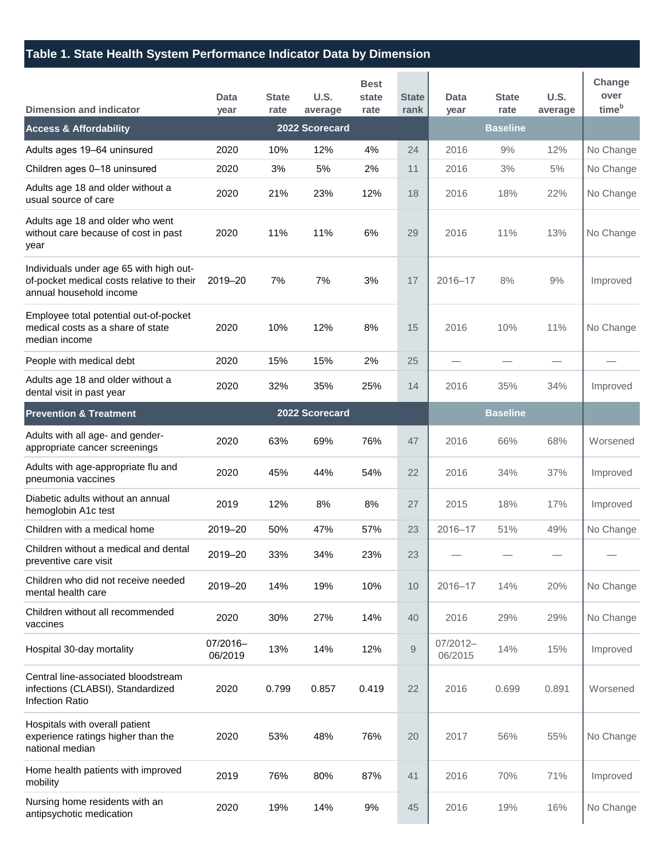## **Table 1. State Health System Performance Indicator Data by Dimension**

| <b>Dimension and indicator</b>                                                                                  | Data<br>year        | <b>State</b><br>rate | U.S.<br>average | <b>Best</b><br>state<br>rate | <b>State</b><br>rank | <b>Data</b><br>year | <b>State</b><br>rate | U.S.<br>average | Change<br>over<br>time <sup>b</sup> |
|-----------------------------------------------------------------------------------------------------------------|---------------------|----------------------|-----------------|------------------------------|----------------------|---------------------|----------------------|-----------------|-------------------------------------|
| <b>Access &amp; Affordability</b>                                                                               |                     |                      | 2022 Scorecard  |                              |                      |                     | <b>Baseline</b>      |                 |                                     |
| Adults ages 19-64 uninsured                                                                                     | 2020                | 10%                  | 12%             | 4%                           | 24                   | 2016                | 9%                   | 12%             | No Change                           |
| Children ages 0-18 uninsured                                                                                    | 2020                | 3%                   | 5%              | 2%                           | 11                   | 2016                | 3%                   | 5%              | No Change                           |
| Adults age 18 and older without a<br>usual source of care                                                       | 2020                | 21%                  | 23%             | 12%                          | 18                   | 2016                | 18%                  | 22%             | No Change                           |
| Adults age 18 and older who went<br>without care because of cost in past<br>year                                | 2020                | 11%                  | 11%             | 6%                           | 29                   | 2016                | 11%                  | 13%             | No Change                           |
| Individuals under age 65 with high out-<br>of-pocket medical costs relative to their<br>annual household income | 2019-20             | 7%                   | 7%              | 3%                           | 17                   | $2016 - 17$         | 8%                   | 9%              | Improved                            |
| Employee total potential out-of-pocket<br>medical costs as a share of state<br>median income                    | 2020                | 10%                  | 12%             | 8%                           | 15                   | 2016                | 10%                  | 11%             | No Change                           |
| People with medical debt                                                                                        | 2020                | 15%                  | 15%             | 2%                           | 25                   |                     |                      |                 |                                     |
| Adults age 18 and older without a<br>dental visit in past year                                                  | 2020                | 32%                  | 35%             | 25%                          | 14                   | 2016                | 35%                  | 34%             | Improved                            |
| <b>Prevention &amp; Treatment</b>                                                                               |                     |                      | 2022 Scorecard  |                              |                      | <b>Baseline</b>     |                      |                 |                                     |
| Adults with all age- and gender-<br>appropriate cancer screenings                                               | 2020                | 63%                  | 69%             | 76%                          | 47                   | 2016                | 66%                  | 68%             | Worsened                            |
| Adults with age-appropriate flu and<br>pneumonia vaccines                                                       | 2020                | 45%                  | 44%             | 54%                          | 22                   | 2016                | 34%                  | 37%             | Improved                            |
| Diabetic adults without an annual<br>hemoglobin A1c test                                                        | 2019                | 12%                  | 8%              | 8%                           | 27                   | 2015                | 18%                  | 17%             | Improved                            |
| Children with a medical home                                                                                    | 2019-20             | 50%                  | 47%             | 57%                          | 23                   | 2016-17             | 51%                  | 49%             | No Change                           |
| Children without a medical and dental<br>preventive care visit                                                  | 2019-20             | 33%                  | 34%             | 23%                          | 23                   |                     |                      |                 |                                     |
| Children who did not receive needed<br>mental health care                                                       | 2019-20             | 14%                  | 19%             | 10%                          | 10                   | 2016-17             | 14%                  | 20%             | No Change                           |
| Children without all recommended<br>vaccines                                                                    | 2020                | 30%                  | 27%             | 14%                          | 40                   | 2016                | 29%                  | 29%             | No Change                           |
| Hospital 30-day mortality                                                                                       | 07/2016-<br>06/2019 | 13%                  | 14%             | 12%                          | 9                    | 07/2012-<br>06/2015 | 14%                  | 15%             | Improved                            |
| Central line-associated bloodstream<br>infections (CLABSI), Standardized<br>Infection Ratio                     | 2020                | 0.799                | 0.857           | 0.419                        | 22                   | 2016                | 0.699                | 0.891           | Worsened                            |
| Hospitals with overall patient<br>experience ratings higher than the<br>national median                         | 2020                | 53%                  | 48%             | 76%                          | 20                   | 2017                | 56%                  | 55%             | No Change                           |
| Home health patients with improved<br>mobility                                                                  | 2019                | 76%                  | 80%             | 87%                          | 41                   | 2016                | 70%                  | 71%             | Improved                            |
| Nursing home residents with an<br>antipsychotic medication                                                      | 2020                | 19%                  | 14%             | 9%                           | 45                   | 2016                | 19%                  | 16%             | No Change                           |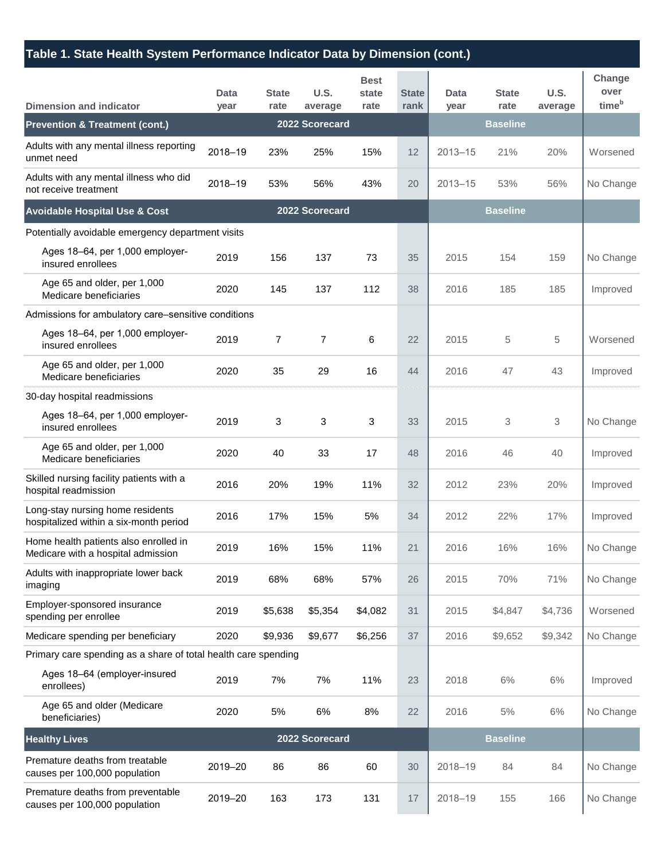## **Table 1. State Health System Performance Indicator Data by Dimension (cont.)**

| <b>Dimension and indicator</b>                                              | Data<br>year | <b>State</b><br>rate | <b>U.S.</b><br>average | <b>Best</b><br>state<br>rate | <b>State</b><br>rank | Data<br>year | <b>State</b><br>rate | <b>U.S.</b><br>average | Change<br>over<br>time <sup>b</sup> |
|-----------------------------------------------------------------------------|--------------|----------------------|------------------------|------------------------------|----------------------|--------------|----------------------|------------------------|-------------------------------------|
| <b>Prevention &amp; Treatment (cont.)</b>                                   |              |                      | 2022 Scorecard         |                              |                      |              | <b>Baseline</b>      |                        |                                     |
| Adults with any mental illness reporting<br>unmet need                      | 2018-19      | 23%                  | 25%                    | 15%                          | 12                   | $2013 - 15$  | 21%                  | 20%                    | Worsened                            |
| Adults with any mental illness who did<br>not receive treatment             | 2018-19      | 53%                  | 56%                    | 43%                          | 20                   | $2013 - 15$  | 53%                  | 56%                    | No Change                           |
| <b>Avoidable Hospital Use &amp; Cost</b>                                    |              |                      | 2022 Scorecard         |                              |                      |              | <b>Baseline</b>      |                        |                                     |
| Potentially avoidable emergency department visits                           |              |                      |                        |                              |                      |              |                      |                        |                                     |
| Ages 18-64, per 1,000 employer-<br>insured enrollees                        | 2019         | 156                  | 137                    | 73                           | 35                   | 2015         | 154                  | 159                    | No Change                           |
| Age 65 and older, per 1,000<br>Medicare beneficiaries                       | 2020         | 145                  | 137                    | 112                          | 38                   | 2016         | 185                  | 185                    | Improved                            |
| Admissions for ambulatory care-sensitive conditions                         |              |                      |                        |                              |                      |              |                      |                        |                                     |
| Ages 18-64, per 1,000 employer-<br>insured enrollees                        | 2019         | $\overline{7}$       | $\overline{7}$         | 6                            | 22                   | 2015         | 5                    | 5                      | Worsened                            |
| Age 65 and older, per 1,000<br>Medicare beneficiaries                       | 2020         | 35                   | 29                     | 16                           | 44                   | 2016         | 47                   | 43                     | Improved                            |
| 30-day hospital readmissions                                                |              |                      |                        |                              |                      |              |                      |                        |                                     |
| Ages 18-64, per 1,000 employer-<br>insured enrollees                        | 2019         | 3                    | 3                      | 3                            | 33                   | 2015         | 3                    | 3                      | No Change                           |
| Age 65 and older, per 1,000<br>Medicare beneficiaries                       | 2020         | 40                   | 33                     | 17                           | 48                   | 2016         | 46                   | 40                     | Improved                            |
| Skilled nursing facility patients with a<br>hospital readmission            | 2016         | 20%                  | 19%                    | 11%                          | 32                   | 2012         | 23%                  | 20%                    | Improved                            |
| Long-stay nursing home residents<br>hospitalized within a six-month period  | 2016         | 17%                  | 15%                    | 5%                           | 34                   | 2012         | 22%                  | 17%                    | Improved                            |
| Home health patients also enrolled in<br>Medicare with a hospital admission | 2019         | 16%                  | 15%                    | 11%                          | 21                   | 2016         | 16%                  | 16%                    | No Change                           |
| Adults with inappropriate lower back<br>imaging                             | 2019         | 68%                  | 68%                    | 57%                          | 26                   | 2015         | 70%                  | 71%                    | No Change                           |
| Employer-sponsored insurance<br>spending per enrollee                       | 2019         | \$5,638              | \$5,354                | \$4,082                      | 31                   | 2015         | \$4,847              | \$4,736                | Worsened                            |
| Medicare spending per beneficiary                                           | 2020         | \$9,936              | \$9,677                | \$6,256                      | 37                   | 2016         | \$9,652              | \$9,342                | No Change                           |
| Primary care spending as a share of total health care spending              |              |                      |                        |                              |                      |              |                      |                        |                                     |
| Ages 18-64 (employer-insured<br>enrollees)                                  | 2019         | 7%                   | 7%                     | 11%                          | 23                   | 2018         | 6%                   | 6%                     | Improved                            |
| Age 65 and older (Medicare<br>beneficiaries)                                | 2020         | 5%                   | 6%                     | 8%                           | 22                   | 2016         | 5%                   | 6%                     | No Change                           |
| <b>Healthy Lives</b>                                                        |              |                      | 2022 Scorecard         |                              |                      |              | <b>Baseline</b>      |                        |                                     |
| Premature deaths from treatable<br>causes per 100,000 population            | 2019-20      | 86                   | 86                     | 60                           | 30                   | 2018-19      | 84                   | 84                     | No Change                           |
| Premature deaths from preventable<br>causes per 100,000 population          | 2019-20      | 163                  | 173                    | 131                          | 17                   | 2018-19      | 155                  | 166                    | No Change                           |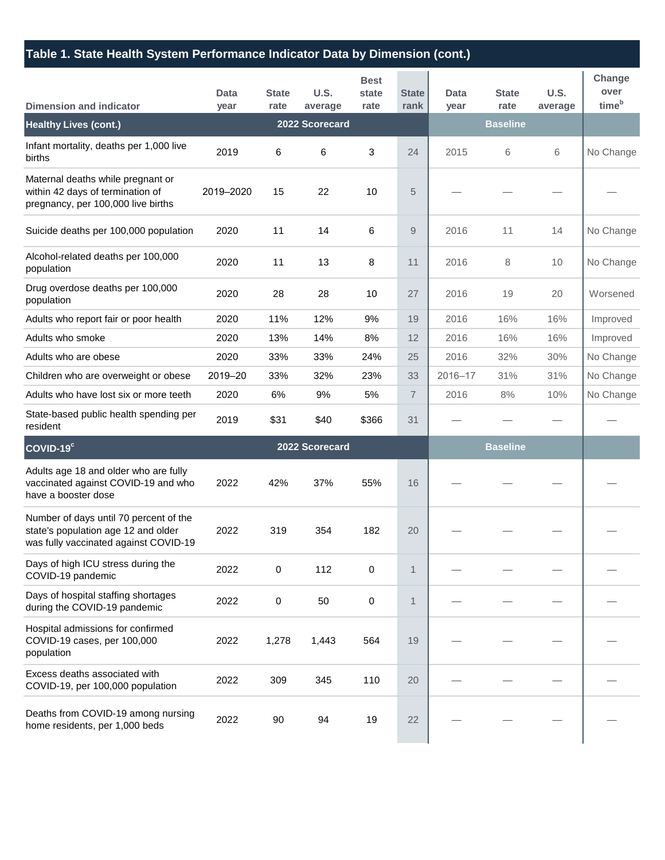## **Table 1. State Health System Performance Indicator Data by Dimension (cont.)**

| <b>Dimension and indicator</b>                                                                                         | Data<br>year | <b>State</b><br>rate | U.S.<br>average | <b>Best</b><br>state<br>rate | <b>State</b><br>rank | Data<br>year | <b>State</b><br>rate | U.S.<br>average | Change<br>over<br>time <sup>b</sup> |
|------------------------------------------------------------------------------------------------------------------------|--------------|----------------------|-----------------|------------------------------|----------------------|--------------|----------------------|-----------------|-------------------------------------|
| <b>Healthy Lives (cont.)</b>                                                                                           |              |                      | 2022 Scorecard  |                              |                      |              | <b>Baseline</b>      |                 |                                     |
| Infant mortality, deaths per 1,000 live<br>births                                                                      | 2019         | 6                    | 6               | 3                            | 24                   | 2015         | 6                    | 6               | No Change                           |
| Maternal deaths while pregnant or<br>within 42 days of termination of<br>pregnancy, per 100,000 live births            | 2019-2020    | 15                   | 22              | 10                           | 5                    |              |                      |                 |                                     |
| Suicide deaths per 100,000 population                                                                                  | 2020         | 11                   | 14              | 6                            | 9                    | 2016         | 11                   | 14              | No Change                           |
| Alcohol-related deaths per 100,000<br>population                                                                       | 2020         | 11                   | 13              | 8                            | 11                   | 2016         | 8                    | 10              | No Change                           |
| Drug overdose deaths per 100,000<br>population                                                                         | 2020         | 28                   | 28              | 10                           | 27                   | 2016         | 19                   | 20              | Worsened                            |
| Adults who report fair or poor health                                                                                  | 2020         | 11%                  | 12%             | 9%                           | 19                   | 2016         | 16%                  | 16%             | Improved                            |
| Adults who smoke                                                                                                       | 2020         | 13%                  | 14%             | 8%                           | 12                   | 2016         | 16%                  | 16%             | Improved                            |
| Adults who are obese                                                                                                   | 2020         | 33%                  | 33%             | 24%                          | 25                   | 2016         | 32%                  | 30%             | No Change                           |
| Children who are overweight or obese                                                                                   | 2019-20      | 33%                  | 32%             | 23%                          | 33                   | 2016-17      | 31%                  | 31%             | No Change                           |
| Adults who have lost six or more teeth                                                                                 | 2020         | 6%                   | 9%              | 5%                           | $\overline{7}$       | 2016         | 8%                   | 10%             | No Change                           |
| State-based public health spending per<br>resident                                                                     | 2019         | \$31                 | \$40            | \$366                        | 31                   |              |                      |                 |                                     |
| COVID-19°                                                                                                              |              |                      | 2022 Scorecard  |                              |                      |              | <b>Baseline</b>      |                 |                                     |
| Adults age 18 and older who are fully<br>vaccinated against COVID-19 and who<br>have a booster dose                    | 2022         | 42%                  | 37%             | 55%                          | 16                   |              |                      |                 |                                     |
| Number of days until 70 percent of the<br>state's population age 12 and older<br>was fully vaccinated against COVID-19 | 2022         | 319                  | 354             | 182                          | 20                   |              |                      |                 |                                     |
| Days of high ICU stress during the<br>COVID-19 pandemic                                                                | 2022         | 0                    | 112             | 0                            | $\mathbf{1}$         |              |                      |                 |                                     |
| Days of hospital staffing shortages<br>during the COVID-19 pandemic                                                    | 2022         | 0                    | 50              | $\mathbf 0$                  | $\mathbf{1}$         |              |                      |                 |                                     |
| Hospital admissions for confirmed<br>COVID-19 cases, per 100,000<br>population                                         | 2022         | 1,278                | 1,443           | 564                          | 19                   |              |                      |                 |                                     |
| Excess deaths associated with<br>COVID-19, per 100,000 population                                                      | 2022         | 309                  | 345             | 110                          | 20                   |              |                      |                 |                                     |
| Deaths from COVID-19 among nursing<br>home residents, per 1,000 beds                                                   | 2022         | 90                   | 94              | 19                           | 22                   |              |                      |                 |                                     |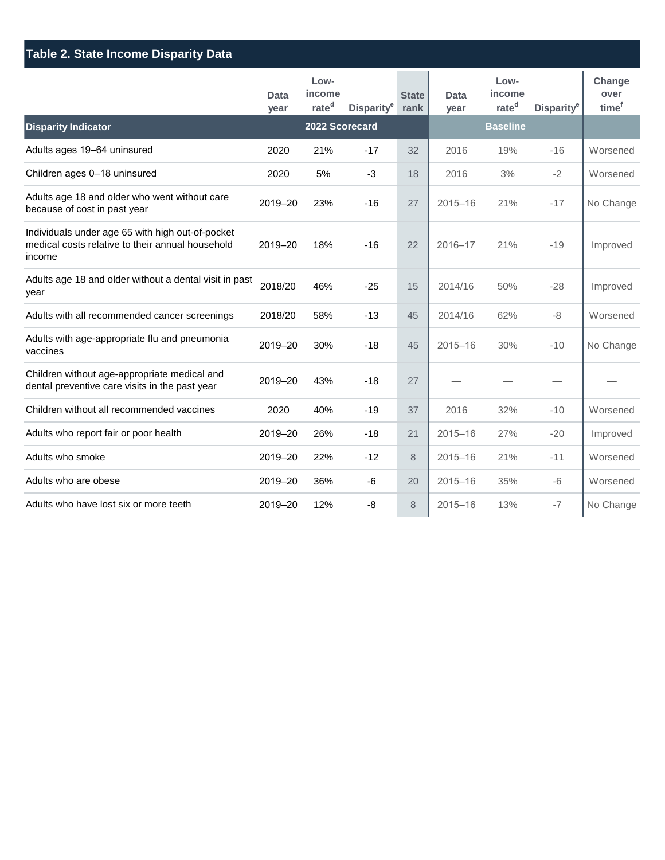| <b>Table 2. State Income Disparity Data</b>                                                                    |              |                                     |                        |                      |                     |                                     |                        |                                     |  |
|----------------------------------------------------------------------------------------------------------------|--------------|-------------------------------------|------------------------|----------------------|---------------------|-------------------------------------|------------------------|-------------------------------------|--|
|                                                                                                                | Data<br>year | Low-<br>income<br>rate <sup>d</sup> | Disparity <sup>e</sup> | <b>State</b><br>rank | <b>Data</b><br>year | Low-<br>income<br>rate <sup>d</sup> | Disparity <sup>e</sup> | Change<br>over<br>time <sup>f</sup> |  |
| <b>Disparity Indicator</b>                                                                                     |              | 2022 Scorecard                      |                        |                      |                     | <b>Baseline</b>                     |                        |                                     |  |
| Adults ages 19-64 uninsured                                                                                    | 2020         | 21%                                 | $-17$                  | 32                   | 2016                | 19%                                 | $-16$                  | Worsened                            |  |
| Children ages 0-18 uninsured                                                                                   | 2020         | 5%                                  | $-3$                   | 18                   | 2016                | 3%                                  | $-2$                   | Worsened                            |  |
| Adults age 18 and older who went without care<br>because of cost in past year                                  | 2019-20      | 23%                                 | $-16$                  | 27                   | $2015 - 16$         | 21%                                 | $-17$                  | No Change                           |  |
| Individuals under age 65 with high out-of-pocket<br>medical costs relative to their annual household<br>income | 2019-20      | 18%                                 | $-16$                  | 22                   | $2016 - 17$         | 21%                                 | $-19$                  | Improved                            |  |
| Adults age 18 and older without a dental visit in past<br>year                                                 | 2018/20      | 46%                                 | $-25$                  | 15                   | 2014/16             | 50%                                 | $-28$                  | Improved                            |  |
| Adults with all recommended cancer screenings                                                                  | 2018/20      | 58%                                 | $-13$                  | 45                   | 2014/16             | 62%                                 | $-8$                   | Worsened                            |  |
| Adults with age-appropriate flu and pneumonia<br>vaccines                                                      | 2019-20      | 30%                                 | $-18$                  | 45                   | $2015 - 16$         | 30%                                 | $-10$                  | No Change                           |  |
| Children without age-appropriate medical and<br>dental preventive care visits in the past year                 | 2019-20      | 43%                                 | $-18$                  | 27                   |                     |                                     |                        |                                     |  |
| Children without all recommended vaccines                                                                      | 2020         | 40%                                 | $-19$                  | 37                   | 2016                | 32%                                 | $-10$                  | Worsened                            |  |
| Adults who report fair or poor health                                                                          | 2019-20      | 26%                                 | $-18$                  | 21                   | $2015 - 16$         | 27%                                 | $-20$                  | Improved                            |  |
| Adults who smoke                                                                                               | 2019-20      | 22%                                 | $-12$                  | 8                    | $2015 - 16$         | 21%                                 | $-11$                  | Worsened                            |  |
| Adults who are obese                                                                                           | 2019-20      | 36%                                 | -6                     | 20                   | $2015 - 16$         | 35%                                 | $-6$                   | Worsened                            |  |
| Adults who have lost six or more teeth                                                                         | 2019-20      | 12%                                 | -8                     | 8                    | $2015 - 16$         | 13%                                 | $-7$                   | No Change                           |  |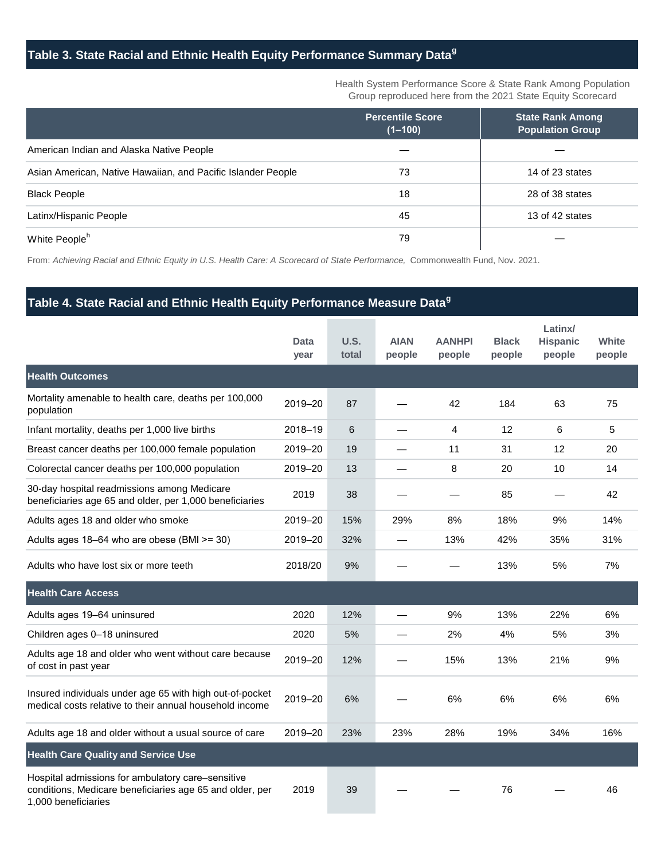## **Table 3. State Racial and Ethnic Health Equity Performance Summary Data<sup>g</sup>**

Health System Performance Score & State Rank Among Population Group reproduced here from the 2021 State Equity Scorecard

|                                                              | <b>Percentile Score</b><br>$(1 - 100)$ | <b>State Rank Among</b><br><b>Population Group</b> |
|--------------------------------------------------------------|----------------------------------------|----------------------------------------------------|
| American Indian and Alaska Native People                     |                                        |                                                    |
| Asian American, Native Hawaiian, and Pacific Islander People | 73                                     | 14 of 23 states                                    |
| <b>Black People</b>                                          | 18                                     | 28 of 38 states                                    |
| Latinx/Hispanic People                                       | 45                                     | 13 of 42 states                                    |
| White People <sup>h</sup>                                    | 79                                     |                                                    |

From: *Achieving Racial and Ethnic Equity in U.S. Health Care: A Scorecard of State Performance,* Commonwealth Fund, Nov. 2021.

### **Table 4. State Racial and Ethnic Health Equity Performance Measure Data<sup>g</sup>**

|                                                                                                                                      | Data<br>year | U.S.<br>total | <b>AIAN</b><br>people | <b>AANHPI</b><br>people | <b>Black</b><br>people | Latinx/<br><b>Hispanic</b><br>people | White<br>people |
|--------------------------------------------------------------------------------------------------------------------------------------|--------------|---------------|-----------------------|-------------------------|------------------------|--------------------------------------|-----------------|
| <b>Health Outcomes</b>                                                                                                               |              |               |                       |                         |                        |                                      |                 |
| Mortality amenable to health care, deaths per 100,000<br>population                                                                  | 2019-20      | 87            |                       | 42                      | 184                    | 63                                   | 75              |
| Infant mortality, deaths per 1,000 live births                                                                                       | 2018-19      | 6             |                       | 4                       | 12                     | 6                                    | 5               |
| Breast cancer deaths per 100,000 female population                                                                                   | 2019-20      | 19            |                       | 11                      | 31                     | 12                                   | 20              |
| Colorectal cancer deaths per 100,000 population                                                                                      | 2019-20      | 13            |                       | 8                       | 20                     | 10                                   | 14              |
| 30-day hospital readmissions among Medicare<br>beneficiaries age 65 and older, per 1,000 beneficiaries                               | 2019         | 38            |                       |                         | 85                     |                                      | 42              |
| Adults ages 18 and older who smoke                                                                                                   | 2019-20      | 15%           | 29%                   | 8%                      | 18%                    | 9%                                   | 14%             |
| Adults ages 18-64 who are obese (BMI >= 30)                                                                                          | 2019-20      | 32%           |                       | 13%                     | 42%                    | 35%                                  | 31%             |
| Adults who have lost six or more teeth                                                                                               | 2018/20      | 9%            |                       |                         | 13%                    | 5%                                   | 7%              |
| <b>Health Care Access</b>                                                                                                            |              |               |                       |                         |                        |                                      |                 |
| Adults ages 19-64 uninsured                                                                                                          | 2020         | 12%           |                       | 9%                      | 13%                    | 22%                                  | 6%              |
| Children ages 0-18 uninsured                                                                                                         | 2020         | 5%            |                       | 2%                      | 4%                     | 5%                                   | 3%              |
| Adults age 18 and older who went without care because<br>of cost in past year                                                        | 2019-20      | 12%           |                       | 15%                     | 13%                    | 21%                                  | 9%              |
| Insured individuals under age 65 with high out-of-pocket<br>medical costs relative to their annual household income                  | 2019-20      | 6%            |                       | 6%                      | 6%                     | 6%                                   | 6%              |
| Adults age 18 and older without a usual source of care                                                                               | 2019-20      | 23%           | 23%                   | 28%                     | 19%                    | 34%                                  | 16%             |
| <b>Health Care Quality and Service Use</b>                                                                                           |              |               |                       |                         |                        |                                      |                 |
| Hospital admissions for ambulatory care-sensitive<br>conditions, Medicare beneficiaries age 65 and older, per<br>1,000 beneficiaries | 2019         | 39            |                       |                         | 76                     |                                      | 46              |